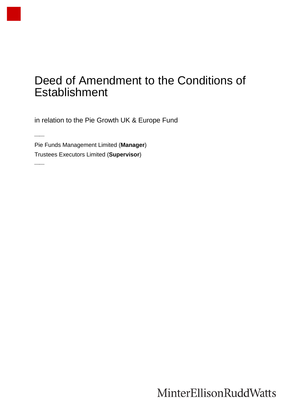## Deed of Amendment to the Conditions of Establishment

in relation to the Pie Growth UK & Europe Fund

Pie Funds Management Limited (**Manager**) Trustees Executors Limited (**Supervisor**)

 $\overline{\phantom{a}}$ 

 $\overline{\phantom{a}}$ 

MinterEllisonRuddWatts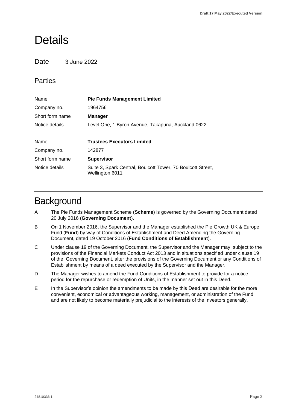### **Details**

#### **Date** 3 June 2022

### Parties

| Name            | <b>Pie Funds Management Limited</b>                                            |
|-----------------|--------------------------------------------------------------------------------|
| Company no.     | 1964756                                                                        |
| Short form name | <b>Manager</b>                                                                 |
| Notice details  | Level One, 1 Byron Avenue, Takapuna, Auckland 0622                             |
|                 |                                                                                |
| Name            | <b>Trustees Executors Limited</b>                                              |
| Company no.     | 142877                                                                         |
| Short form name | <b>Supervisor</b>                                                              |
| Notice details  | Suite 3, Spark Central, Boulcott Tower, 70 Boulcott Street,<br>Wellington 6011 |

### **Background**

- A The Pie Funds Management Scheme (**Scheme**) is governed by the Governing Document dated 20 July 2016 (**Governing Document**).
- B On 1 November 2016, the Supervisor and the Manager established the Pie Growth UK & Europe Fund (**Fund**) by way of Conditions of Establishment and Deed Amending the Governing Document, dated 19 October 2016 (**Fund Conditions of Establishment**).
- C Under clause 19 of the Governing Document, the Supervisor and the Manager may, subject to the provisions of the Financial Markets Conduct Act 2013 and in situations specified under clause 19 of the Governing Document, alter the provisions of the Governing Document or any Conditions of Establishment by means of a deed executed by the Supervisor and the Manager.
- D The Manager wishes to amend the Fund Conditions of Establishment to provide for a notice period for the repurchase or redemption of Units, in the manner set out in this Deed.
- E In the Supervisor's opinion the amendments to be made by this Deed are desirable for the more convenient, economical or advantageous working, management, or administration of the Fund and are not likely to become materially prejudicial to the interests of the Investors generally.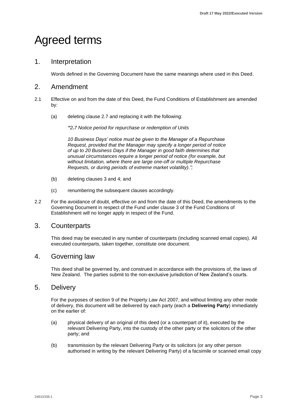# Agreed terms

#### 1. Interpretation

Words defined in the Governing Document have the same meanings where used in this Deed.

#### 2. Amendment

- 2.1 Effective on and from the date of this Deed, the Fund Conditions of Establishment are amended by:
	- (a) deleting clause 2.7 and replacing it with the following:

*"2.7 Notice period for repurchase or redemption of Units*

*10 Business Days' notice must be given to the Manager of a Repurchase Request, provided that the Manager may specify a longer period of notice of up to 20 Business Days if the Manager in good faith determines that unusual circumstances require a longer period of notice (for example, but without limitation, where there are large one-off or multiple Repurchase Requests, or during periods of extreme market volatility).";* 

- (b) deleting clauses 3 and 4; and
- (c) renumbering the subsequent clauses accordingly.
- 2.2 For the avoidance of doubt, effective on and from the date of this Deed, the amendments to the Governing Document in respect of the Fund under clause 3 of the Fund Conditions of Establishment will no longer apply in respect of the Fund.

#### 3. Counterparts

This deed may be executed in any number of counterparts (including scanned email copies). All executed counterparts, taken together, constitute one document.

#### 4. Governing law

This deed shall be governed by, and construed in accordance with the provisions of, the laws of New Zealand. The parties submit to the non-exclusive jurisdiction of New Zealand's courts.

#### 5. Delivery

For the purposes of section 9 of the Property Law Act 2007, and without limiting any other mode of delivery, this document will be delivered by each party (each a **Delivering Party**) immediately on the earlier of:

- (a) physical delivery of an original of this deed (or a counterpart of it), executed by the relevant Delivering Party, into the custody of the other party or the solicitors of the other party; and
- (b) transmission by the relevant Delivering Party or its solicitors (or any other person authorised in writing by the relevant Delivering Party) of a facsimile or scanned email copy